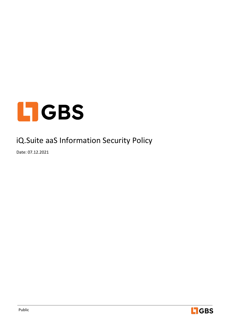

# iQ.Suite aaS Information Security Policy

Date: 07.12.2021

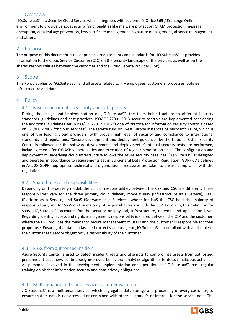# 1 Overview

"iQ.Suite aaS" is a Security Cloud Service which integrates with customer's Office 365 / Exchange Online environment to provide various security functionalities like malware protection, SPAM protection, message encryption, data leakage prevention, key/certificate management, signature management, absence management and others.

# 2 Purpose

The purpose of this document is to set principal requirements and standards for "iQ.Suite aaS". It provides information to the Cloud Service Customer (CSC) on the security landscape of the services, as well as on the shared responsibilities between the customer and the Cloud Service Provider (CSP).

### 3 Scope

This Policy applies to "iQ.Suite aaS" and all assets related to it – employees, customers, processes, policies, infrastructure and data.

### 4 Policy

### 4.1 Baseline information security and data privacy

During the design and implementation of  $n$ iQ.Suite aaS", the team behind adhere to different industry standards, guidelines and best practices. ISO/IEC 27001:2013 security controls are implemented considering the additional guidelines set in ISO/IEC 27017:2015 "Code of practice for information security controls based on ISO/IEC 27002 for cloud services". The service runs on West Europe instances of Microsoft Azure, which is one of the leading cloud providers, with proven high level of security and compliance to international standards and regulations. "Secure development and deployment guidance" by the National Cyber Security Centre is followed for the software development and deployment. Continual security tests are performed, including checks for OWASP vulnerabilities and execution of regular penetration tests. The configuration and deployment of underlying cloud infrastructure follows the Azure security baselines. "iQ.Suite aaS" is designed and operates in accordance to requirements set in EU General Data Protection Regulation (GDPR). As defined in Art. 28 GDPR, appropriate technical and organizational measures are taken to ensure compliance with the regulation.

### 4.2 Shared roles and responsibilities

Depending on the delivery model, the split of responsibilities between the CSP and CSC are different. These responsibilities vary for the three primary cloud delivery models: IaaS (Infrastructure as a Service), PaaS (Platform as a Service) and SaaS (Software as a Services), where for IaaS the CSC hold the majority of responsibilities, and for SaaS on the majority of responsibilities are with the CSP. Following this definition for SaaS, "iQ.Suite aaS" accounts for the security on physical, infrastructure, network and application level. Regarding identity, access and rights management, responsibility is shared between the CSP and the customer, where the CSP provides the means for secure management of users and the customer is responsible for their proper use. Ensuring that data is classified correctly and usage of "iQ.Suite aaS" is compliant with applicable to the customer regulatory obligations, is responsibility of the customer.

# 4.3 Risks from authorized insiders

Azure Security Center is used to detect insider threats and attempts to compromise assets from authorized personnel. It uses new, continuously improved behavioral analytics algorithms to detect malicious activities. All personnel involved in the development, implementation and operation of "iQ.Suite aaS" pass regular training on his/her information security and data privacy obligations.

#### 4.4 Multi-tenancy and cloud service customer isolation

"iQ.Suite aaS" is a multitenant service, which segregates data storage and processing of every customer, to ensure that its data is not accessed or combined with other customer's or internal for the service data. The

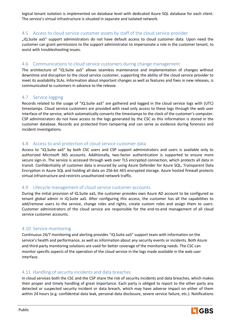logical tenant isolation is implemented on database level with dedicated Azure SQL database for each client. The service's virtual infrastructure is situated in separate and isolated network.

## 4.5 Access to cloud service customer assets by staff of the cloud service provider

"iQ.Suite aaS" support administrators do not have default access to cloud customer data. Upon need the customer can grant permissions to the support administrator to impersonate a role in the customer tenant, to assist with troubleshooting issues.

# 4.6 Communications to cloud service customers during change management

The architecture of "iQ.Suite aaS" allows seamless maintenance and implementation of changes without downtime and disruption to the cloud service customer, supporting the ability of the cloud service provider to meet its availability SLAs. Information about important changes as well as features and fixes in new releases, is communicated to customers in advance to the release.

# 4.7 Service logging

Records related to the usage of "iQ.Suite aaS" are gathered and logged in the cloud service logs with (UTC) timestamps. Cloud service customers are provided with read only access to these logs through the web user interface of the service, which automatically converts the timestamps to the clock of the customer's computer. CSP administrators do not have access to the logs generated by the CSC as this information is stored in the customer database. Records are protected from tampering and can serve as evidence during forensics and incident investigations.

### 4.8 Access to and protection of cloud service customer data

Access to "iQ.Suite aaS" by both CSC users and CSP support administrators and users is available only to authorized Microsoft 365 accounts. Additionally, two-factor authentication is supported to ensure more secure sign-in. The service is accessed through web over TLS encrypted connection, which protects all data in transit. Confidentiality of customer data is ensured by using Azure Defender for Azure SQL, Transparent Data Encryption in Azure SQL and holding all data on 256-bit AES encrypted storage. Azure hosted firewall protects virtual infrastructure and restricts unauthorized network traffic.

### 4.9 Lifecycle management of cloud service customer accounts

During the initial provision of iQ.Suite aaS, the customer provides own Azure AD account to be configured as tenant global admin in iQ.Suite aaS. After configuring this access, the customer has all the capabilities to add/remove users to the service, change roles and rights, create custom roles and assign them to users. Customer administrators of the cloud service are responsible for the end-to-end management of all cloud service customer accounts.

### 4.10 Service monitoring

Continuous 24/7 monitoring and alerting provides "iQ.Suite aaS" support team with information on the service's health and performance, as well as information about any security events or incidents. Both Azure and third-party monitoring solutions are used for better coverage of the monitoring needs. The CSC can monitor specific aspects of the operation of the cloud service in the logs made available in the web user interface.

### 4.11 Handling of security incidents and data breaches

In cloud services both the CSC and the CSP share the risk of security incidents and data breaches, which makes their proper and timely handling of great importance. Each party is obliged to report to the other party any detected or suspected security incident or data breach, which may have adverse impact on either of them within 24 hours (e.g. confidential data leak, personal data disclosure, severe service failure, etc.). Notifications